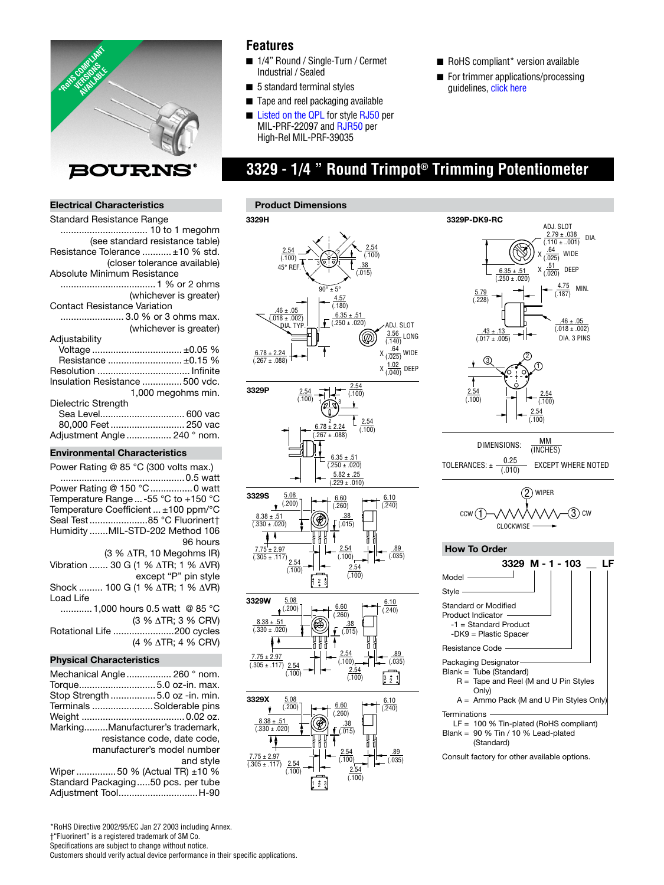

## **Features**

- 1/4" Round / Single-Turn / Cermet Industrial / Sealed
- 5 standard terminal styles
- Tape and reel packaging available
- [Listed on the QPL](http://www.bourns.com/data/global/pdfs/qualified_parts_numbers.pdf) f[or style RJ50 p](http://www.bourns.com/data/global/pdfs/RJ50RJR50.pdf)er MIL-PRF-22097 and RJR50 per High-Rel MIL-PRF-39035
- RoHS compliant\* version available
- For trimmer applications/processing guideline[s, click here](http://www.bourns.com/data/global/pdfs/ap_proc.pdf)

# **3329 - 1/4 " Round Trimpot® Trimming Potentiometer**

### **Electrical Characteristics**

| Standard Resistance Range           |
|-------------------------------------|
| 10 to 1 megohm                      |
| (see standard resistance table)     |
| Resistance Tolerance  ±10 % std.    |
| (closer tolerance available)        |
| Absolute Minimum Resistance         |
|                                     |
| (whichever is greater)              |
| <b>Contact Resistance Variation</b> |
| 3.0 % or 3 ohms max.                |
| (whichever is greater)              |
| Adjustability                       |
|                                     |
| Resistance  ±0.15 %                 |
|                                     |
| Insulation Resistance 500 vdc.      |
| 1,000 megohms min.                  |
| Dielectric Strength                 |
| Sea Level 600 vac                   |
| 80,000 Feet  250 vac                |
| Adjustment Angle  240 ° nom.        |
|                                     |

#### **Environmental Characteristics**

| Power Rating @ 85 °C (300 volts max.)                    |  |  |
|----------------------------------------------------------|--|--|
|                                                          |  |  |
| Power Rating @ 150 °C 0 watt                             |  |  |
| Temperature Range  -55 °C to +150 °C                     |  |  |
| Temperature Coefficient  ±100 ppm/°C                     |  |  |
| Seal Test85 °C Fluorinert†                               |  |  |
| Humidity MIL-STD-202 Method 106                          |  |  |
| 96 hours                                                 |  |  |
| $(3 % \triangle TR, 10 Megohn S IR)$                     |  |  |
| Vibration  30 G (1 % $\triangle$ TR; 1 % $\triangle$ VR) |  |  |
| except "P" pin style                                     |  |  |
| Shock  100 G (1 % ∆TR; 1 % ∆VR)                          |  |  |
| Load Life                                                |  |  |
| 1,000 hours 0.5 watt @ 85 °C                             |  |  |
| (3 % $\triangle$ TR; 3 % CRV)                            |  |  |
| Rotational Life 200 cycles                               |  |  |
| (4 % $\triangle$ TR; 4 % CRV)                            |  |  |
| <b>Physical Characteristics</b>                          |  |  |
| Mechanical Angle  260 ° nom.                             |  |  |

#### Torque .............................5.0 oz-in. max. Stop Strength .................5.0 oz -in. min. Terminals .......................Solderable pins Weight ....................................... 0.02 oz. Marking.........Manufacturer's trademark, resistance code, date code, manufacturer's model number

 and style Wiper ...............50 % (Actual TR) ±10 % Standard Packaging .....50 pcs. per tube Adjustment Tool ..............................H-90





Consult factory for other available options.

\*RoHS Directive 2002/95/EC Jan 27 2003 including Annex. †"Fluorinert" is a registered trademark of 3M Co. Specifications are subject to change without notice. Customers should verify actual device performance in their specific applications.